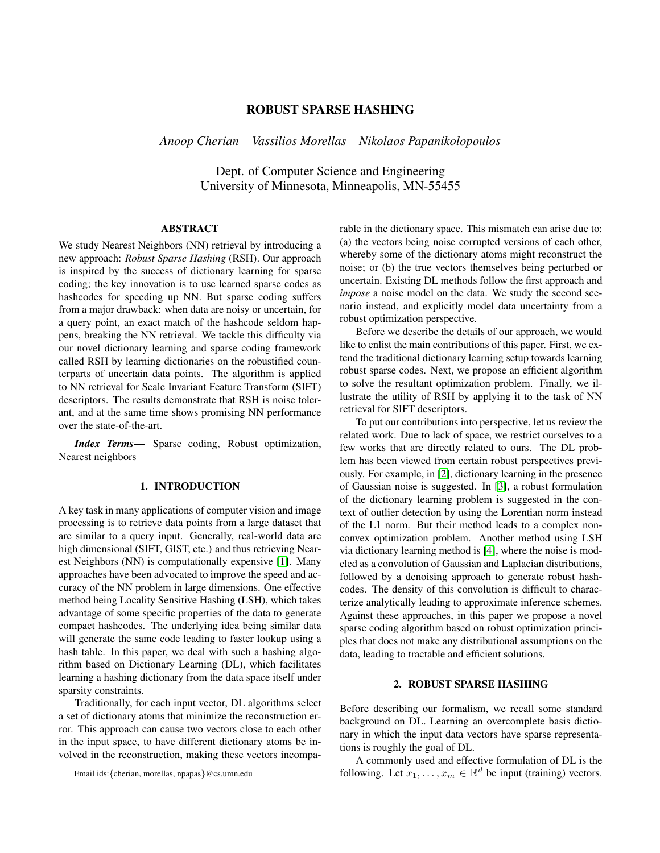# **ROBUST SPARSE HASHING**

*Anoop Cherian Vassilios Morellas Nikolaos Papanikolopoulos*

Dept. of Computer Science and Engineering University of Minnesota, Minneapolis, MN-55455

### **ABSTRACT**

We study Nearest Neighbors (NN) retrieval by introducing a new approach: *Robust Sparse Hashing* (RSH). Our approach is inspired by the success of dictionary learning for sparse coding; the key innovation is to use learned sparse codes as hashcodes for speeding up NN. But sparse coding suffers from a major drawback: when data are noisy or uncertain, for a query point, an exact match of the hashcode seldom happens, breaking the NN retrieval. We tackle this difficulty via our novel dictionary learning and sparse coding framework called RSH by learning dictionaries on the robustified counterparts of uncertain data points. The algorithm is applied to NN retrieval for Scale Invariant Feature Transform (SIFT) descriptors. The results demonstrate that RSH is noise tolerant, and at the same time shows promising NN performance over the state-of-the-art.

*Index Terms***—** Sparse coding, Robust optimization, Nearest neighbors

### **1. INTRODUCTION**

A key task in many applications of computer vision and image processing is to retrieve data points from a large dataset that are similar to a query input. Generally, real-world data are high dimensional (SIFT, GIST, etc.) and thus retrieving Nearest Neighbors (NN) is computationally expensive [\[1\]](#page-3-0). Many approaches have been advocated to improve the speed and accuracy of the NN problem in large dimensions. One effective method being Locality Sensitive Hashing (LSH), which takes advantage of some specific properties of the data to generate compact hashcodes. The underlying idea being similar data will generate the same code leading to faster lookup using a hash table. In this paper, we deal with such a hashing algorithm based on Dictionary Learning (DL), which facilitates learning a hashing dictionary from the data space itself under sparsity constraints.

Traditionally, for each input vector, DL algorithms select a set of dictionary atoms that minimize the reconstruction error. This approach can cause two vectors close to each other in the input space, to have different dictionary atoms be involved in the reconstruction, making these vectors incomparable in the dictionary space. This mismatch can arise due to: (a) the vectors being noise corrupted versions of each other, whereby some of the dictionary atoms might reconstruct the noise; or (b) the true vectors themselves being perturbed or uncertain. Existing DL methods follow the first approach and *impose* a noise model on the data. We study the second scenario instead, and explicitly model data uncertainty from a robust optimization perspective.

Before we describe the details of our approach, we would like to enlist the main contributions of this paper. First, we extend the traditional dictionary learning setup towards learning robust sparse codes. Next, we propose an efficient algorithm to solve the resultant optimization problem. Finally, we illustrate the utility of RSH by applying it to the task of NN retrieval for SIFT descriptors.

To put our contributions into perspective, let us review the related work. Due to lack of space, we restrict ourselves to a few works that are directly related to ours. The DL problem has been viewed from certain robust perspectives previously. For example, in [\[2\]](#page-3-1), dictionary learning in the presence of Gaussian noise is suggested. In [\[3\]](#page-3-2), a robust formulation of the dictionary learning problem is suggested in the context of outlier detection by using the Lorentian norm instead of the L1 norm. But their method leads to a complex nonconvex optimization problem. Another method using LSH via dictionary learning method is [\[4\]](#page-3-3), where the noise is modeled as a convolution of Gaussian and Laplacian distributions, followed by a denoising approach to generate robust hashcodes. The density of this convolution is difficult to characterize analytically leading to approximate inference schemes. Against these approaches, in this paper we propose a novel sparse coding algorithm based on robust optimization principles that does not make any distributional assumptions on the data, leading to tractable and efficient solutions.

#### **2. ROBUST SPARSE HASHING**

Before describing our formalism, we recall some standard background on DL. Learning an overcomplete basis dictionary in which the input data vectors have sparse representations is roughly the goal of DL.

A commonly used and effective formulation of DL is the following. Let  $x_1, \ldots, x_m \in \mathbb{R}^d$  be input (training) vectors.

Email ids:{cherian, morellas, npapas}@cs.umn.edu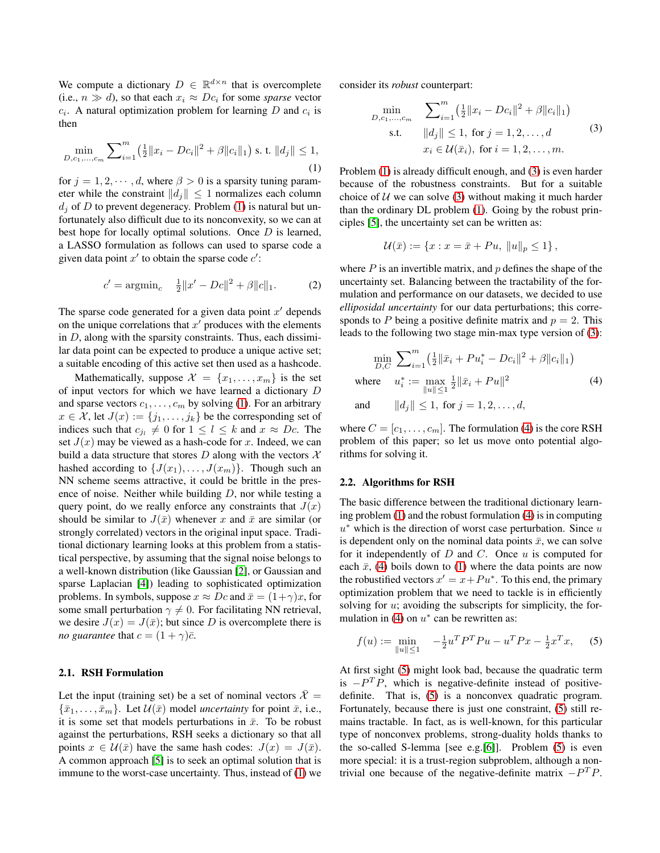We compute a dictionary  $D \in \mathbb{R}^{d \times n}$  that is overcomplete (i.e.,  $n \gg d$ ), so that each  $x_i \approx Dc_i$  for some *sparse* vector  $c_i$ . A natural optimization problem for learning D and  $c_i$  is then

<span id="page-1-0"></span>
$$
\min_{D,c_1,\dots,c_m} \sum_{i=1}^m \left(\frac{1}{2} \|x_i - Dc_i\|^2 + \beta \|c_i\|_1\right) \text{ s. t. } \|d_j\| \le 1,
$$
\n(1)

for  $j = 1, 2, \dots, d$ , where  $\beta > 0$  is a sparsity tuning parameter while the constraint  $||d_i|| \leq 1$  normalizes each column  $d_i$  of D to prevent degeneracy. Problem [\(1\)](#page-1-0) is natural but unfortunately also difficult due to its nonconvexity, so we can at best hope for locally optimal solutions. Once D is learned, a LASSO formulation as follows can used to sparse code a given data point  $x'$  to obtain the sparse code  $c'$ :

$$
c' = \operatorname{argmin}_{c} \quad \frac{1}{2} \|x' - Dc\|^2 + \beta \|c\|_1. \tag{2}
$$

The sparse code generated for a given data point  $x'$  depends on the unique correlations that  $x'$  produces with the elements in  $D$ , along with the sparsity constraints. Thus, each dissimilar data point can be expected to produce a unique active set; a suitable encoding of this active set then used as a hashcode.

Mathematically, suppose  $\mathcal{X} = \{x_1, \ldots, x_m\}$  is the set of input vectors for which we have learned a dictionary D and sparse vectors  $c_1, \ldots, c_m$  by solving [\(1\)](#page-1-0). For an arbitrary  $x \in \mathcal{X}$ , let  $J(x) := \{j_1, \ldots, j_k\}$  be the corresponding set of indices such that  $c_{j_l} \neq 0$  for  $1 \leq l \leq k$  and  $x \approx Dc$ . The set  $J(x)$  may be viewed as a hash-code for x. Indeed, we can build a data structure that stores  $D$  along with the vectors  $\mathcal X$ hashed according to  $\{J(x_1), \ldots, J(x_m)\}\$ . Though such an NN scheme seems attractive, it could be brittle in the presence of noise. Neither while building  $D$ , nor while testing a query point, do we really enforce any constraints that  $J(x)$ should be similar to  $J(\bar{x})$  whenever x and  $\bar{x}$  are similar (or strongly correlated) vectors in the original input space. Traditional dictionary learning looks at this problem from a statistical perspective, by assuming that the signal noise belongs to a well-known distribution (like Gaussian [\[2\]](#page-3-1), or Gaussian and sparse Laplacian [\[4\]](#page-3-3)) leading to sophisticated optimization problems. In symbols, suppose  $x \approx Dc$  and  $\bar{x} = (1+\gamma)x$ , for some small perturbation  $\gamma \neq 0$ . For facilitating NN retrieval, we desire  $J(x) = J(\bar{x})$ ; but since D is overcomplete there is *no guarantee* that  $c = (1 + \gamma)\bar{c}$ .

### **2.1. RSH Formulation**

Let the input (training set) be a set of nominal vectors  $\overline{X}$  =  $\{\bar{x}_1, \ldots, \bar{x}_m\}$ . Let  $\mathcal{U}(\bar{x})$  model *uncertainty* for point  $\bar{x}$ , i.e., it is some set that models perturbations in  $\bar{x}$ . To be robust against the perturbations, RSH seeks a dictionary so that all points  $x \in \mathcal{U}(\bar{x})$  have the same hash codes:  $J(x) = J(\bar{x})$ . A common approach [\[5\]](#page-3-4) is to seek an optimal solution that is immune to the worst-case uncertainty. Thus, instead of [\(1\)](#page-1-0) we consider its *robust* counterpart:

<span id="page-1-1"></span>
$$
\min_{D,c_1,...,c_m} \sum_{i=1}^m \left(\frac{1}{2} ||x_i - Dc_i||^2 + \beta ||c_i||_1\right)
$$
  
s.t.  $||d_j|| \le 1$ , for  $j = 1, 2, ..., d$   
 $x_i \in \mathcal{U}(\bar{x}_i)$ , for  $i = 1, 2, ..., m$ . (3)

Problem [\(1\)](#page-1-0) is already difficult enough, and [\(3\)](#page-1-1) is even harder because of the robustness constraints. But for a suitable choice of  $U$  we can solve [\(3\)](#page-1-1) without making it much harder than the ordinary DL problem [\(1\)](#page-1-0). Going by the robust principles [\[5\]](#page-3-4), the uncertainty set can be written as:

$$
\mathcal{U}(\bar{x}) := \{x : x = \bar{x} + Pu, ||u||_p \le 1\},\
$$

where  $P$  is an invertible matrix, and  $p$  defines the shape of the uncertainty set. Balancing between the tractability of the formulation and performance on our datasets, we decided to use *elliposidal uncertainty* for our data perturbations; this corresponds to P being a positive definite matrix and  $p = 2$ . This leads to the following two stage min-max type version of [\(3\)](#page-1-1):

<span id="page-1-2"></span>
$$
\min_{D,C} \sum_{i=1}^{m} \left(\frac{1}{2} \|\bar{x}_i + Pu_i^* - Dc_i\|^2 + \beta \|c_i\|_1\right)
$$
\nwhere  $u_i^* := \max_{\|u\| \le 1} \frac{1}{2} \|\bar{x}_i + Pu\|^2$  (4)  
\nand  $\|d_j\| \le 1$ , for  $j = 1, 2, ..., d$ ,

where  $C = [c_1, \ldots, c_m]$ . The formulation [\(4\)](#page-1-2) is the core RSH problem of this paper; so let us move onto potential algorithms for solving it.

#### **2.2. Algorithms for RSH**

The basic difference between the traditional dictionary learning problem [\(1\)](#page-1-0) and the robust formulation [\(4\)](#page-1-2) is in computing  $u^*$  which is the direction of worst case perturbation. Since  $u$ is dependent only on the nominal data points  $\bar{x}$ , we can solve for it independently of  $D$  and  $C$ . Once  $u$  is computed for each  $\bar{x}$ , [\(4\)](#page-1-2) boils down to [\(1\)](#page-1-0) where the data points are now the robustified vectors  $x' = x + Pu^*$ . To this end, the primary optimization problem that we need to tackle is in efficiently solving for  $u$ ; avoiding the subscripts for simplicity, the for-mulation in [\(4\)](#page-1-2) on  $u^*$  can be rewritten as:

<span id="page-1-3"></span>
$$
f(u) := \min_{\|u\| \le 1} \quad -\frac{1}{2} u^T P^T P u - u^T P x - \frac{1}{2} x^T x,\tag{5}
$$

At first sight [\(5\)](#page-1-3) might look bad, because the quadratic term is  $-P^{T}P$ , which is negative-definite instead of positivedefinite. That is, [\(5\)](#page-1-3) is a nonconvex quadratic program. Fortunately, because there is just one constraint, [\(5\)](#page-1-3) still remains tractable. In fact, as is well-known, for this particular type of nonconvex problems, strong-duality holds thanks to the so-called S-lemma [see e.g.[\[6\]](#page-3-5)]. Problem [\(5\)](#page-1-3) is even more special: it is a trust-region subproblem, although a nontrivial one because of the negative-definite matrix  $-P^T P$ .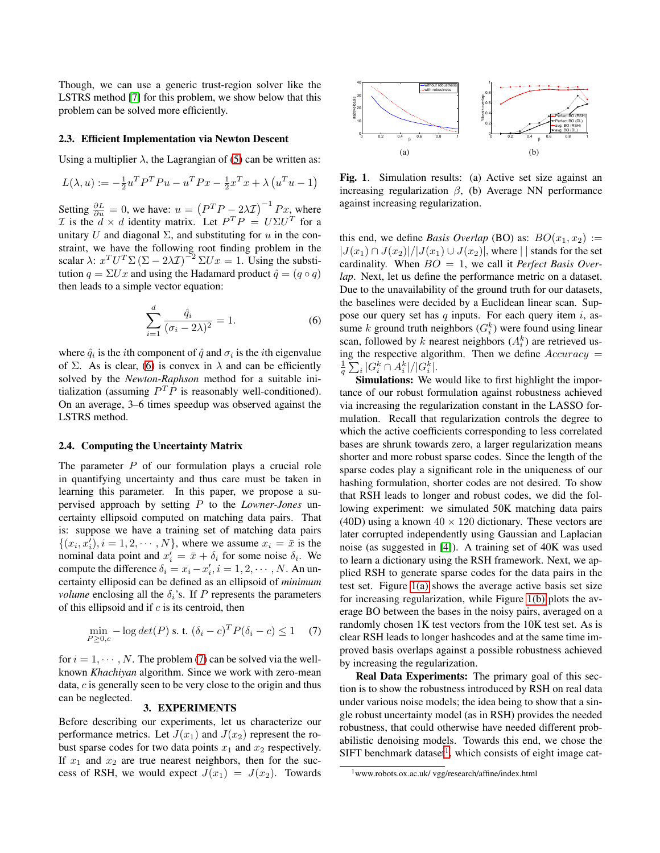Though, we can use a generic trust-region solver like the LSTRS method [\[7\]](#page-3-6) for this problem, we show below that this problem can be solved more efficiently.

#### **2.3. Efficient Implementation via Newton Descent**

Using a multiplier  $\lambda$ , the Lagrangian of [\(5\)](#page-1-3) can be written as:

$$
L(\lambda, u) := -\frac{1}{2}u^T P^T P u - u^T P x - \frac{1}{2}x^T x + \lambda (u^T u - 1)
$$

Setting  $\frac{\partial L}{\partial u} = 0$ , we have:  $u = (P^T P - 2\lambda \mathcal{I})^{-1} P x$ , where *I* is the  $\ddot{d} \times d$  identity matrix. Let  $P^T P = U \Sigma U^T$  for a unitary U and diagonal  $\Sigma$ , and substituting for u in the constraint, we have the following root finding problem in the scalar  $\lambda$ :  $x^T U^T \Sigma (\Sigma - 2\lambda \mathcal{I})^{-2} \Sigma U x = 1$ . Using the substitution  $q = \sum Ux$  and using the Hadamard product  $\hat{q} = (q \circ q)$ then leads to a simple vector equation:

<span id="page-2-0"></span>
$$
\sum_{i=1}^{d} \frac{\hat{q}_i}{(\sigma_i - 2\lambda)^2} = 1.
$$
 (6)

where  $\hat{q}_i$  is the *i*th component of  $\hat{q}$  and  $\sigma_i$  is the *i*th eigenvalue of Σ. As is clear, [\(6\)](#page-2-0) is convex in  $\lambda$  and can be efficiently solved by the *Newton-Raphson* method for a suitable initialization (assuming  $P^T P$  is reasonably well-conditioned). On an average, 3–6 times speedup was observed against the LSTRS method.

### **2.4. Computing the Uncertainty Matrix**

The parameter  $P$  of our formulation plays a crucial role in quantifying uncertainty and thus care must be taken in learning this parameter. In this paper, we propose a supervised approach by setting P to the *Lowner-Jones* uncertainty ellipsoid computed on matching data pairs. That is: suppose we have a training set of matching data pairs  $\{(x_i, x'_i), i = 1, 2, \cdots, N\}$ , where we assume  $x_i = \bar{x}$  is the nominal data point and  $x'_i = \bar{x} + \delta_i$  for some noise  $\delta_i$ . We compute the difference  $\delta_i = x_i - x'_i, i = 1, 2, \cdots, N$ . An uncertainty elliposid can be defined as an ellipsoid of *minimum volume* enclosing all the  $\delta_i$ 's. If P represents the parameters of this ellipsoid and if  $c$  is its centroid, then

<span id="page-2-1"></span>
$$
\min_{P \ge 0,c} -\log det(P) \text{ s. t. } (\delta_i - c)^T P(\delta_i - c) \le 1 \quad (7)
$$

for  $i = 1, \dots, N$ . The problem [\(7\)](#page-2-1) can be solved via the wellknown *Khachiyan* algorithm. Since we work with zero-mean data, c is generally seen to be very close to the origin and thus can be neglected.

#### **3. EXPERIMENTS**

Before describing our experiments, let us characterize our performance metrics. Let  $J(x_1)$  and  $J(x_2)$  represent the robust sparse codes for two data points  $x_1$  and  $x_2$  respectively. If  $x_1$  and  $x_2$  are true nearest neighbors, then for the success of RSH, we would expect  $J(x_1) = J(x_2)$ . Towards

<span id="page-2-2"></span>

<span id="page-2-3"></span>**Fig. 1**. Simulation results: (a) Active set size against an increasing regularization  $β$ , (b) Average NN performance against increasing regularization.

this end, we define *Basis Overlap* (BO) as:  $BO(x_1, x_2)$  :=  $|J(x_1) \cap J(x_2)|/|J(x_1) \cup J(x_2)|$ , where | | stands for the set cardinality. When BO = 1, we call it *Perfect Basis Overlap*. Next, let us define the performance metric on a dataset. Due to the unavailability of the ground truth for our datasets, the baselines were decided by a Euclidean linear scan. Suppose our query set has  $q$  inputs. For each query item  $i$ , assume k ground truth neighbors  $(G_i^k)$  were found using linear scan, followed by k nearest neighbors  $(A_i^k)$  are retrieved using the respective algorithm. Then we define  $Accuracy =$ 1  $\frac{1}{q}\sum_i |G_i^k \cap A_i^k|/|G_i^k|.$ 

**Simulations:** We would like to first highlight the importance of our robust formulation against robustness achieved via increasing the regularization constant in the LASSO formulation. Recall that regularization controls the degree to which the active coefficients corresponding to less correlated bases are shrunk towards zero, a larger regularization means shorter and more robust sparse codes. Since the length of the sparse codes play a significant role in the uniqueness of our hashing formulation, shorter codes are not desired. To show that RSH leads to longer and robust codes, we did the following experiment: we simulated 50K matching data pairs (40D) using a known  $40 \times 120$  dictionary. These vectors are later corrupted independently using Gaussian and Laplacian noise (as suggested in [\[4\]](#page-3-3)). A training set of 40K was used to learn a dictionary using the RSH framework. Next, we applied RSH to generate sparse codes for the data pairs in the test set. Figure  $1(a)$  shows the average active basis set size for increasing regularization, while Figure [1\(b\)](#page-2-3) plots the average BO between the bases in the noisy pairs, averaged on a randomly chosen 1K test vectors from the 10K test set. As is clear RSH leads to longer hashcodes and at the same time improved basis overlaps against a possible robustness achieved by increasing the regularization.

**Real Data Experiments:** The primary goal of this section is to show the robustness introduced by RSH on real data under various noise models; the idea being to show that a single robust uncertainty model (as in RSH) provides the needed robustness, that could otherwise have needed different probabilistic denoising models. Towards this end, we chose the SIFT benchmark dataset<sup>[1](#page-2-4)</sup>, which consists of eight image cat-

<span id="page-2-4"></span><sup>1</sup>www.robots.ox.ac.uk/ vgg/research/affine/index.html